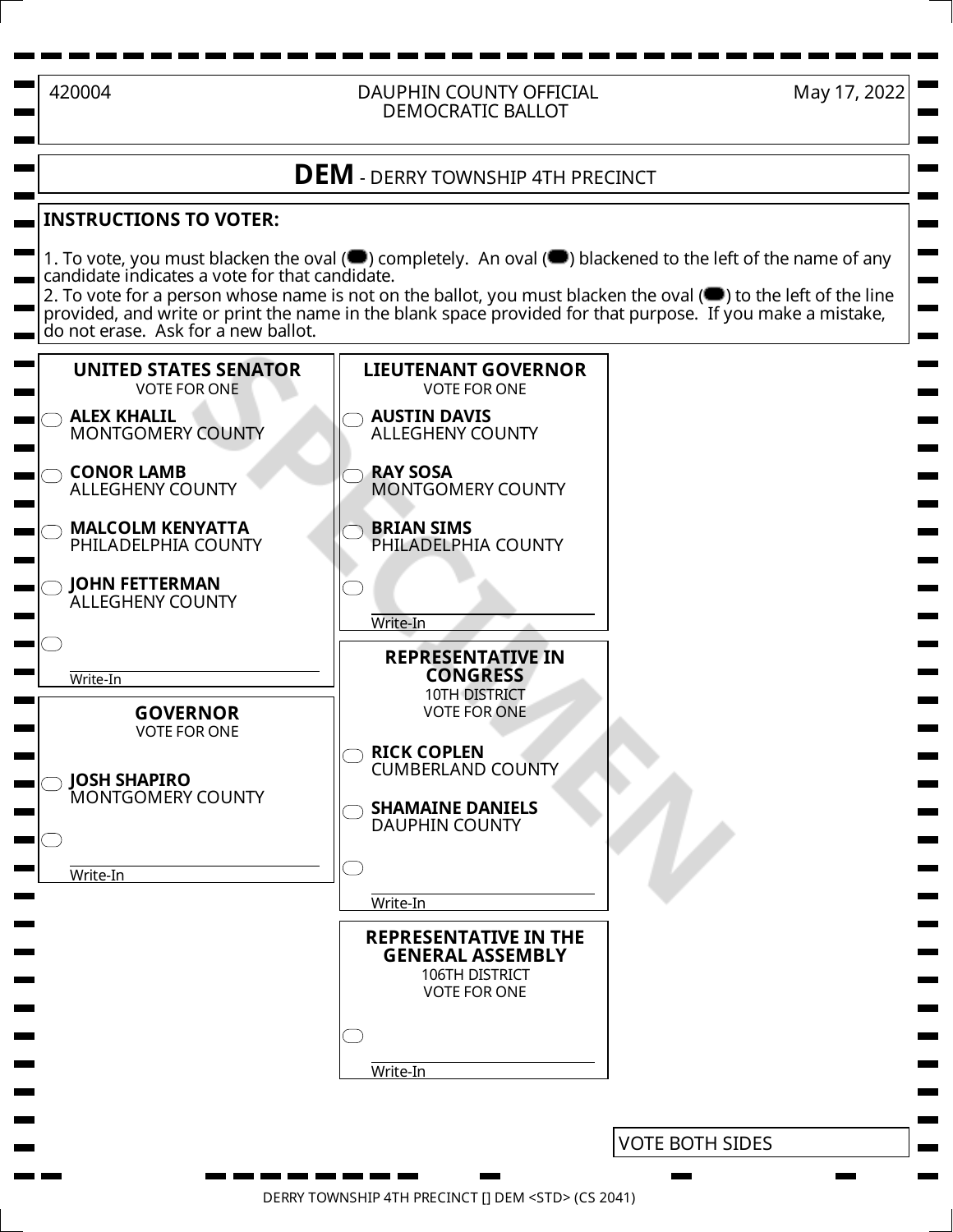## 420004 DAUPHIN COUNTY OFFICIAL DEMOCRATIC BALLOT

## **DEM** - DERRY TOWNSHIP 4TH PRECINCT

## **INSTRUCTIONS TO VOTER:**

1. To vote, you must blacken the oval (O) completely. An oval (O) blackened to the left of the name of any candidate indicates a vote for that candidate.

2. To vote for a person whose name is not on the ballot, you must blacken the oval  $($ **)** to the left of the line provided, and write or print the name in the blank space provided for that purpose. If you make a mistake, do not erase. Ask for a new ballot.



VOTE BOTH SIDES